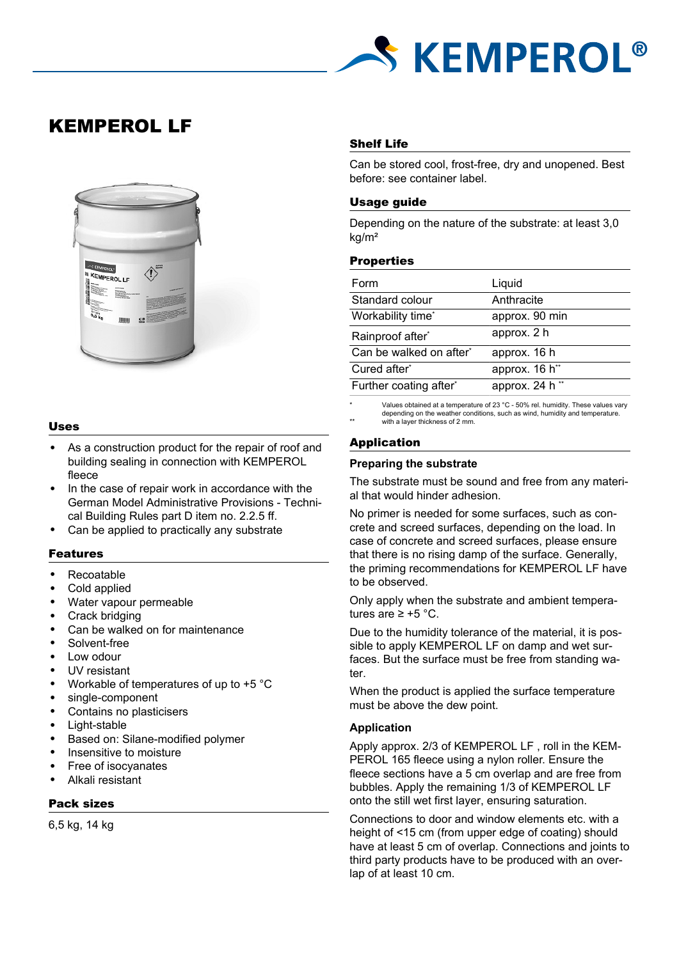

# KEMPEROL LF



## Uses

- As a construction product for the repair of roof and building sealing in connection with KEMPEROL fleece
- In the case of repair work in accordance with the German Model Administrative Provisions - Technical Building Rules part D item no. 2.2.5 ff.
- Can be applied to practically any substrate

## Features

- Recoatable
- Cold applied
- Water vapour permeable
- Crack bridging
- Can be walked on for maintenance
- Solvent-free
- Low odour
- UV resistant
- Workable of temperatures of up to  $+5$  °C
- single-component
- Contains no plasticisers
- Light-stable
- Based on: Silane-modified polymer
- Insensitive to moisture
- Free of isocyanates
- Alkali resistant

# Pack sizes

6,5 kg, 14 kg

# Shelf Life

Can be stored cool, frost-free, dry and unopened. Best before: see container label.

# Usage guide

Depending on the nature of the substrate: at least 3,0 kg/m²

## **Properties**

| Liquid                     |
|----------------------------|
| Anthracite                 |
| approx. 90 min             |
| approx. 2 h                |
| approx. 16 h               |
| approx. 16 h <sup>**</sup> |
| approx. 24 h <sup>**</sup> |
|                            |

Values obtained at a temperature of 23  $^{\circ}$ C - 50% rel. humidity. These values vary depending on the weather conditions, such as wind, humidity and temperature. with a layer thickness of 2 mm.

# Application

#### **Preparing the substrate**

The substrate must be sound and free from any material that would hinder adhesion.

No primer is needed for some surfaces, such as concrete and screed surfaces, depending on the load. In case of concrete and screed surfaces, please ensure that there is no rising damp of the surface. Generally, the priming recommendations for KEMPEROL LF have to be observed.

Only apply when the substrate and ambient temperatures are  $≥ +5$  °C.

Due to the humidity tolerance of the material, it is possible to apply KEMPEROL LF on damp and wet surfaces. But the surface must be free from standing water.

When the product is applied the surface temperature must be above the dew point.

## **Application**

Apply approx. 2/3 of KEMPEROL LF , roll in the KEM-PEROL 165 fleece using a nylon roller. Ensure the fleece sections have a 5 cm overlap and are free from bubbles. Apply the remaining 1/3 of KEMPEROL LF onto the still wet first layer, ensuring saturation.

Connections to door and window elements etc. with a height of <15 cm (from upper edge of coating) should have at least 5 cm of overlap. Connections and joints to third party products have to be produced with an overlap of at least 10 cm.